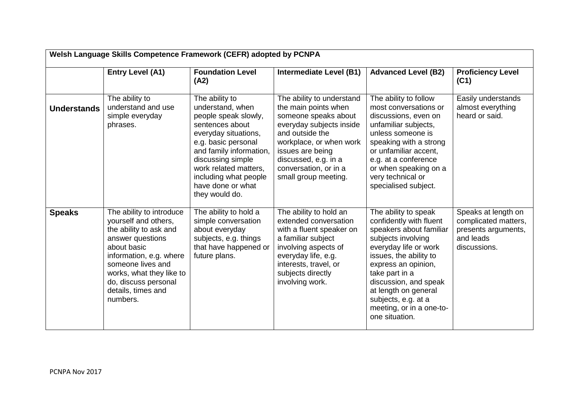| Welsh Language Skills Competence Framework (CEFR) adopted by PCNPA |                                                                                                                                                                                                                                                     |                                                                                                                                                                                                                                                                       |                                                                                                                                                                                                                                                  |                                                                                                                                                                                                                                                                                                                    |                                                                                                 |  |  |  |
|--------------------------------------------------------------------|-----------------------------------------------------------------------------------------------------------------------------------------------------------------------------------------------------------------------------------------------------|-----------------------------------------------------------------------------------------------------------------------------------------------------------------------------------------------------------------------------------------------------------------------|--------------------------------------------------------------------------------------------------------------------------------------------------------------------------------------------------------------------------------------------------|--------------------------------------------------------------------------------------------------------------------------------------------------------------------------------------------------------------------------------------------------------------------------------------------------------------------|-------------------------------------------------------------------------------------------------|--|--|--|
|                                                                    | <b>Entry Level (A1)</b>                                                                                                                                                                                                                             | <b>Foundation Level</b><br>(A2)                                                                                                                                                                                                                                       | Intermediate Level (B1)                                                                                                                                                                                                                          | <b>Advanced Level (B2)</b>                                                                                                                                                                                                                                                                                         | <b>Proficiency Level</b><br>(C1)                                                                |  |  |  |
| <b>Understands</b>                                                 | The ability to<br>understand and use<br>simple everyday<br>phrases.                                                                                                                                                                                 | The ability to<br>understand, when<br>people speak slowly,<br>sentences about<br>everyday situations,<br>e.g. basic personal<br>and family information,<br>discussing simple<br>work related matters,<br>including what people<br>have done or what<br>they would do. | The ability to understand<br>the main points when<br>someone speaks about<br>everyday subjects inside<br>and outside the<br>workplace, or when work<br>issues are being<br>discussed, e.g. in a<br>conversation, or in a<br>small group meeting. | The ability to follow<br>most conversations or<br>discussions, even on<br>unfamiliar subjects,<br>unless someone is<br>speaking with a strong<br>or unfamiliar accent,<br>e.g. at a conference<br>or when speaking on a<br>very technical or<br>specialised subject.                                               | Easily understands<br>almost everything<br>heard or said.                                       |  |  |  |
| <b>Speaks</b>                                                      | The ability to introduce<br>yourself and others,<br>the ability to ask and<br>answer questions<br>about basic<br>information, e.g. where<br>someone lives and<br>works, what they like to<br>do, discuss personal<br>details, times and<br>numbers. | The ability to hold a<br>simple conversation<br>about everyday<br>subjects, e.g. things<br>that have happened or<br>future plans.                                                                                                                                     | The ability to hold an<br>extended conversation<br>with a fluent speaker on<br>a familiar subject<br>involving aspects of<br>everyday life, e.g.<br>interests, travel, or<br>subjects directly<br>involving work.                                | The ability to speak<br>confidently with fluent<br>speakers about familiar<br>subjects involving<br>everyday life or work<br>issues, the ability to<br>express an opinion,<br>take part in a<br>discussion, and speak<br>at length on general<br>subjects, e.g. at a<br>meeting, or in a one-to-<br>one situation. | Speaks at length on<br>complicated matters,<br>presents arguments,<br>and leads<br>discussions. |  |  |  |